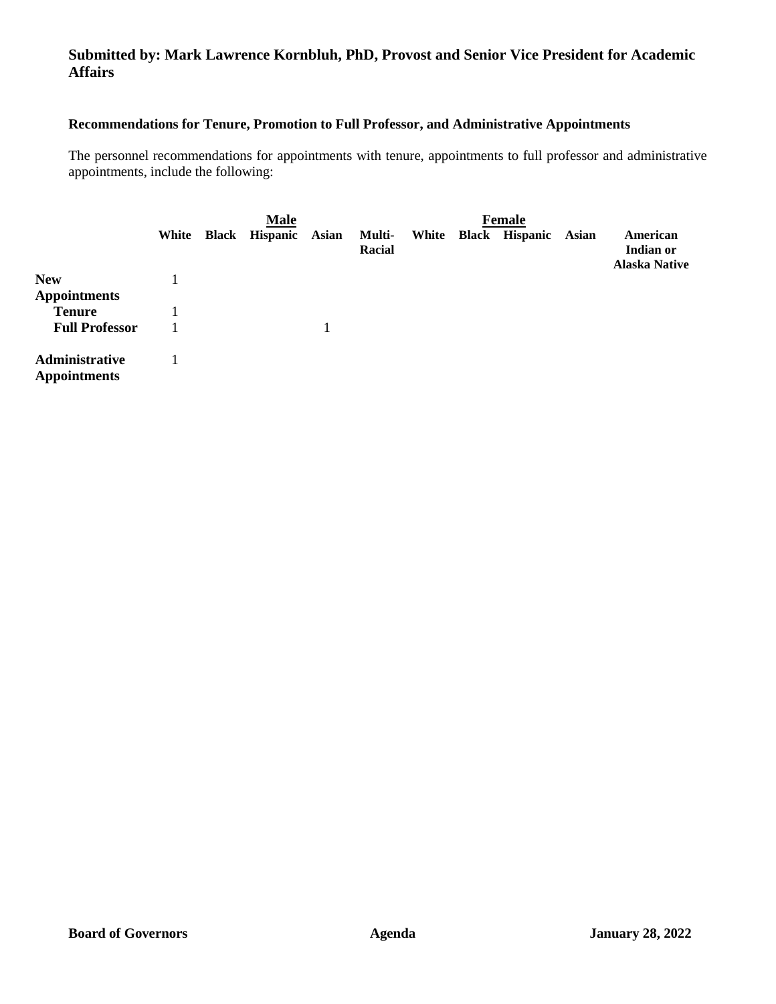## **Submitted by: Mark Lawrence Kornbluh, PhD, Provost and Senior Vice President for Academic Affairs**

## **Recommendations for Tenure, Promotion to Full Professor, and Administrative Appointments**

The personnel recommendations for appointments with tenure, appointments to full professor and administrative appointments, include the following:

|                                       | <b>Male</b> |  |                       |              |                  |  | <b>Female</b> |                      |       |                                               |
|---------------------------------------|-------------|--|-----------------------|--------------|------------------|--|---------------|----------------------|-------|-----------------------------------------------|
|                                       | White       |  | <b>Black Hispanic</b> | <b>Asian</b> | Multi-<br>Racial |  |               | White Black Hispanic | Asian | American<br>Indian or<br><b>Alaska Native</b> |
| <b>New</b>                            |             |  |                       |              |                  |  |               |                      |       |                                               |
| <b>Appointments</b>                   |             |  |                       |              |                  |  |               |                      |       |                                               |
| <b>Tenure</b>                         |             |  |                       |              |                  |  |               |                      |       |                                               |
| <b>Full Professor</b>                 |             |  |                       |              |                  |  |               |                      |       |                                               |
| Administrative<br><b>Appointments</b> |             |  |                       |              |                  |  |               |                      |       |                                               |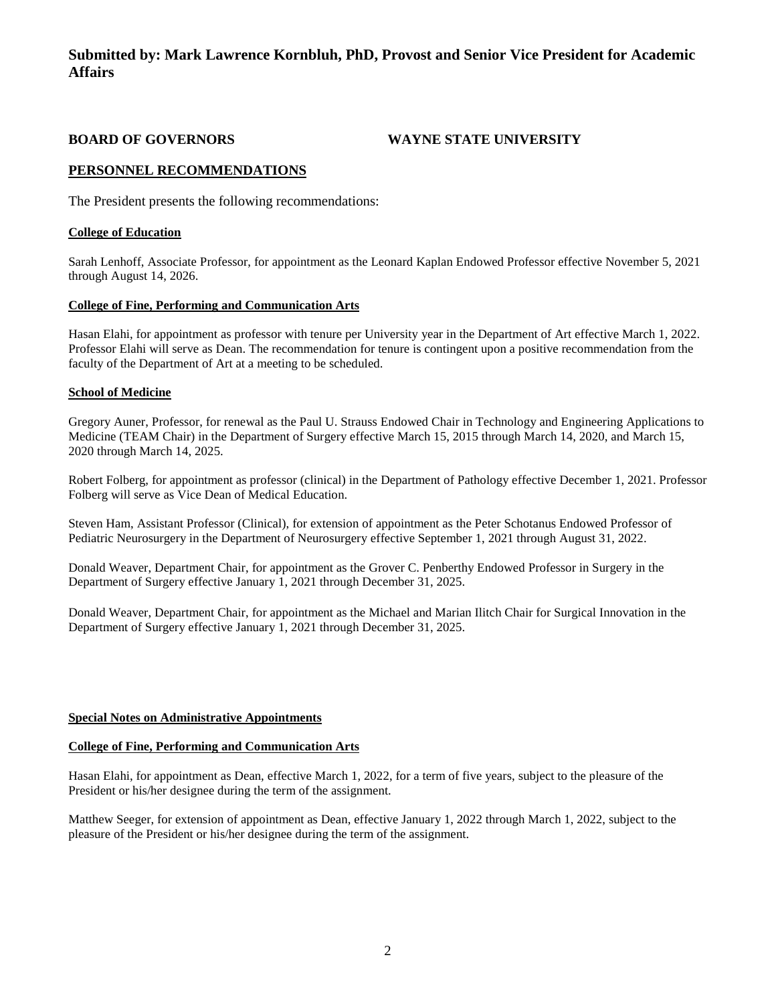## **Submitted by: Mark Lawrence Kornbluh, PhD, Provost and Senior Vice President for Academic Affairs**

**BOARD OF GOVERNORS WAYNE STATE UNIVERSITY**

### **PERSONNEL RECOMMENDATIONS**

The President presents the following recommendations:

#### **College of Education**

Sarah Lenhoff, Associate Professor, for appointment as the Leonard Kaplan Endowed Professor effective November 5, 2021 through August 14, 2026.

#### **College of Fine, Performing and Communication Arts**

Hasan Elahi, for appointment as professor with tenure per University year in the Department of Art effective March 1, 2022. Professor Elahi will serve as Dean. The recommendation for tenure is contingent upon a positive recommendation from the faculty of the Department of Art at a meeting to be scheduled.

#### **School of Medicine**

Gregory Auner, Professor, for renewal as the Paul U. Strauss Endowed Chair in Technology and Engineering Applications to Medicine (TEAM Chair) in the Department of Surgery effective March 15, 2015 through March 14, 2020, and March 15, 2020 through March 14, 2025.

Robert Folberg, for appointment as professor (clinical) in the Department of Pathology effective December 1, 2021. Professor Folberg will serve as Vice Dean of Medical Education.

Steven Ham, Assistant Professor (Clinical), for extension of appointment as the Peter Schotanus Endowed Professor of Pediatric Neurosurgery in the Department of Neurosurgery effective September 1, 2021 through August 31, 2022.

Donald Weaver, Department Chair, for appointment as the Grover C. Penberthy Endowed Professor in Surgery in the Department of Surgery effective January 1, 2021 through December 31, 2025.

Donald Weaver, Department Chair, for appointment as the Michael and Marian Ilitch Chair for Surgical Innovation in the Department of Surgery effective January 1, 2021 through December 31, 2025.

#### **Special Notes on Administrative Appointments**

#### **College of Fine, Performing and Communication Arts**

Hasan Elahi, for appointment as Dean, effective March 1, 2022, for a term of five years, subject to the pleasure of the President or his/her designee during the term of the assignment.

Matthew Seeger, for extension of appointment as Dean, effective January 1, 2022 through March 1, 2022, subject to the pleasure of the President or his/her designee during the term of the assignment.